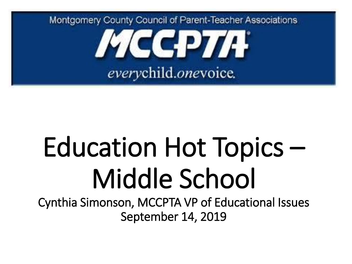

# Education Hot Topics – Middle School

Cynthia Simonson, MCCPTA VP of Educational Issues September 14, 2019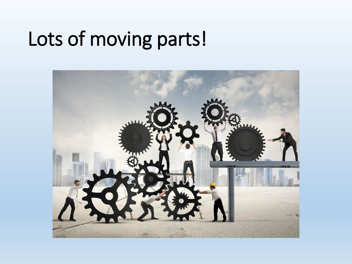#### Lots of moving parts!

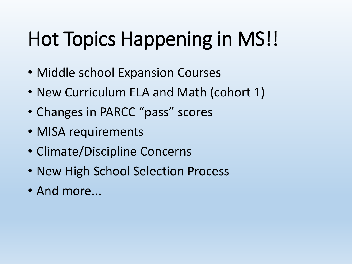# Hot Topics Happening in MS!!

- Middle school Expansion Courses
- New Curriculum ELA and Math (cohort 1)
- Changes in PARCC "pass" scores
- MISA requirements
- Climate/Discipline Concerns
- New High School Selection Process
- And more...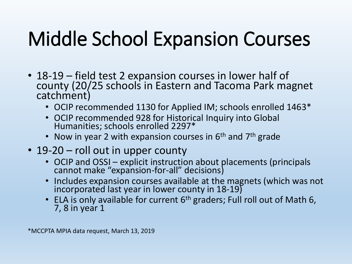# Middle School Expansion Courses

- 18-19 field test 2 expansion courses in lower half of county (20/25 schools in Eastern and Tacoma Park magnet catchment)
	- OCIP recommended 1130 for Applied IM; schools enrolled 1463\*
	- OCIP recommended 928 for Historical Inquiry into Global Humanities; schools enrolled 2297\*
	- Now in year 2 with expansion courses in  $6<sup>th</sup>$  and  $7<sup>th</sup>$  grade
- 19-20 roll out in upper county
	- OCIP and OSSI explicit instruction about placements (principals cannot make "expansion-for-all" decisions)
	- Includes expansion courses available at the magnets (which was not incorporated last year in lower county in 18-19)
	- ELA is only available for current 6<sup>th</sup> graders; Full roll out of Math 6, 7, 8 in year 1

\*MCCPTA MPIA data request, March 13, 2019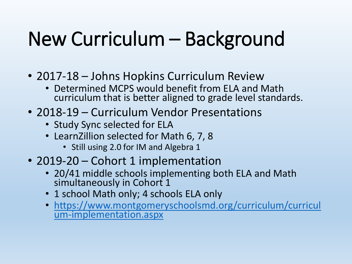# New Curriculum – Background

- 2017-18 Johns Hopkins Curriculum Review
	- Determined MCPS would benefit from ELA and Math curriculum that is better aligned to grade level standards.
- 2018-19 Curriculum Vendor Presentations
	- Study Sync selected for ELA
	- LearnZillion selected for Math 6, 7, 8
		- Still using 2.0 for IM and Algebra 1
- 2019-20 Cohort 1 implementation
	- 20/41 middle schools implementing both ELA and Math simultaneously in Cohort 1
	- 1 school Math only; 4 schools ELA only
	- [https://www.montgomeryschoolsmd.org/curriculum/curricul](https://www.montgomeryschoolsmd.org/curriculum/curriculum-implementation.aspx) um-implementation.aspx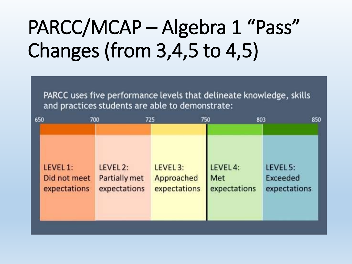# PARCC/MCAP – Algebra 1 "Pass" Changes (from 3,4,5 to 4,5)

PARCC uses five performance levels that delineate knowledge, skills and practices students are able to demonstrate:

| 650          | 700           | 725          | 750<br>803          | 850             |
|--------------|---------------|--------------|---------------------|-----------------|
| LEVEL 1:     | LEVEL 2:      | LEVEL 3:     | LEVEL <sub>4:</sub> | LEVEL 5:        |
| Did not meet | Partially met | Approached   | Met                 | <b>Exceeded</b> |
| expectations | expectations  | expectations | expectations        | expectations    |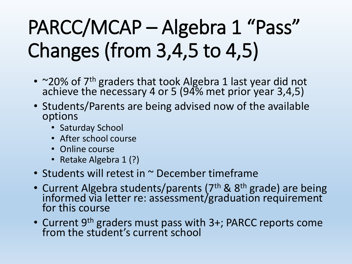# PARCC/MCAP – Algebra 1 "Pass" Changes (from 3,4,5 to 4,5)

- ~20% of 7<sup>th</sup> graders that took Algebra 1 last year did not achieve the necessary 4 or 5 (94% met prior year 3,4,5)
- Students/Parents are being advised now of the available options
	- Saturday School
	- After school course
	- Online course
	- Retake Algebra 1 (?)
- Students will retest in ~ December timeframe
- Current Algebra students/parents (7<sup>th</sup> & 8<sup>th</sup> grade) are being informed via letter re: assessment/graduation requirement for this course
- Current 9<sup>th</sup> graders must pass with 3+; PARCC reports come from the student's current school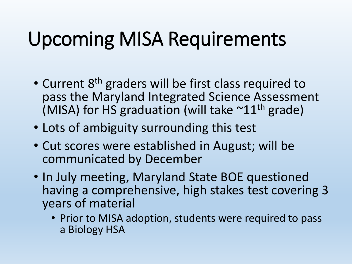### Upcoming MISA Requirements

- Current 8<sup>th</sup> graders will be first class required to pass the Maryland Integrated Science Assessment (MISA) for HS graduation (will take  $\sim$ 11<sup>th</sup> grade)
- Lots of ambiguity surrounding this test
- Cut scores were established in August; will be communicated by December
- In July meeting, Maryland State BOE questioned having a comprehensive, high stakes test covering 3 years of material
	- Prior to MISA adoption, students were required to pass a Biology HSA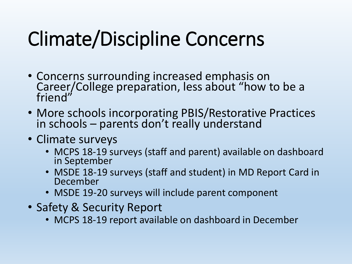# Climate/Discipline Concerns

- Concerns surrounding increased emphasis on Career/College preparation, less about "how to be a friend"
- More schools incorporating PBIS/Restorative Practices in schools – parents don't really understand
- Climate surveys
	- MCPS 18-19 surveys (staff and parent) available on dashboard in September
	- MSDE 18-19 surveys (staff and student) in MD Report Card in December
	- MSDE 19-20 surveys will include parent component
- Safety & Security Report
	- MCPS 18-19 report available on dashboard in December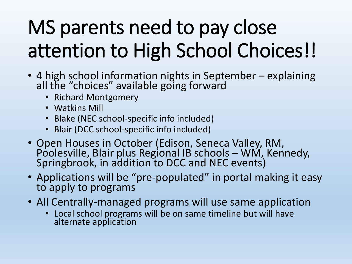# MS parents need to pay close attention to High School Choices!!

- 4 high school information nights in September explaining all the "choices" available going forward
	- Richard Montgomery
	- Watkins Mill
	- Blake (NEC school-specific info included)
	- Blair (DCC school-specific info included)
- Open Houses in October (Edison, Seneca Valley, RM, Poolesville, Blair plus Regional IB schools – WM, Kennedy, Springbrook, in addition to DCC and NEC events)
- Applications will be "pre-populated" in portal making it easy to apply to programs
- All Centrally-managed programs will use same application
	- Local school programs will be on same timeline but will have alternate application